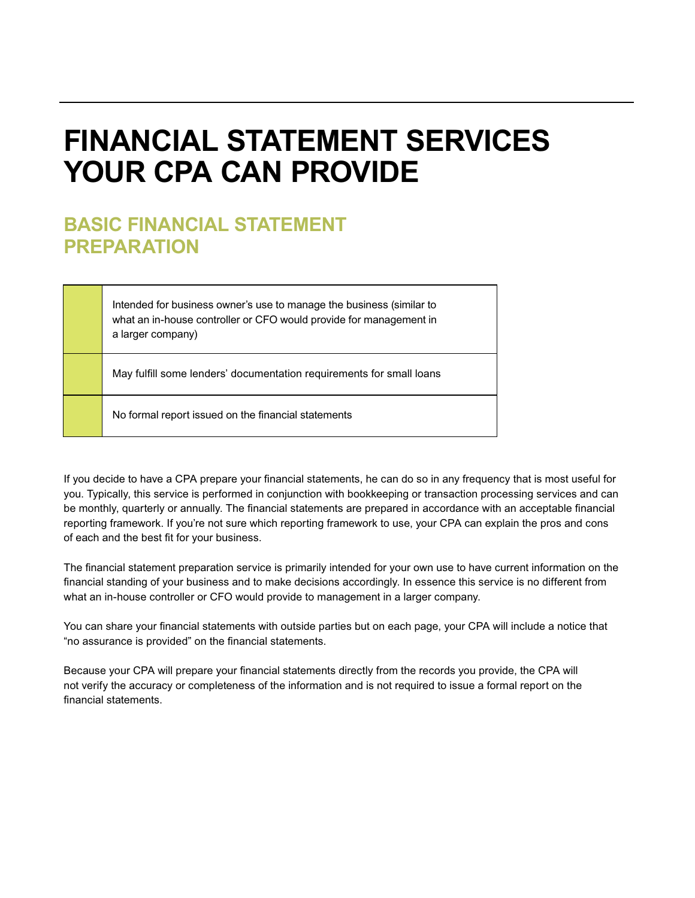# **FINANCIAL STATEMENT SERVICES YOUR CPA CAN PROVIDE**

## **BASIC FINANCIAL STATEMENT PREPARATION**

Intended for business owner's use to manage the business (similar to what an in-house controller or CFO would provide for management in a larger company)

May fulfill some lenders' documentation requirements for small loans

No formal report issued on the financial statements

If you decide to have a CPA prepare your financial statements, he can do so in any frequency that is most useful for you. Typically, this service is performed in conjunction with bookkeeping or transaction processing services and can be monthly, quarterly or annually. The financial statements are prepared in accordance with an acceptable financial reporting framework. If you're not sure which reporting framework to use, your CPA can explain the pros and cons of each and the best fit for your business.

The financial statement preparation service is primarily intended for your own use to have current information on the financial standing of your business and to make decisions accordingly. In essence this service is no different from what an in-house controller or CFO would provide to management in a larger company.

You can share your financial statements with outside parties but on each page, your CPA will include a notice that "no assurance is provided" on the financial statements.

Because your CPA will prepare your financial statements directly from the records you provide, the CPA will not verify the accuracy or completeness of the information and is not required to issue a formal report on the financial statements.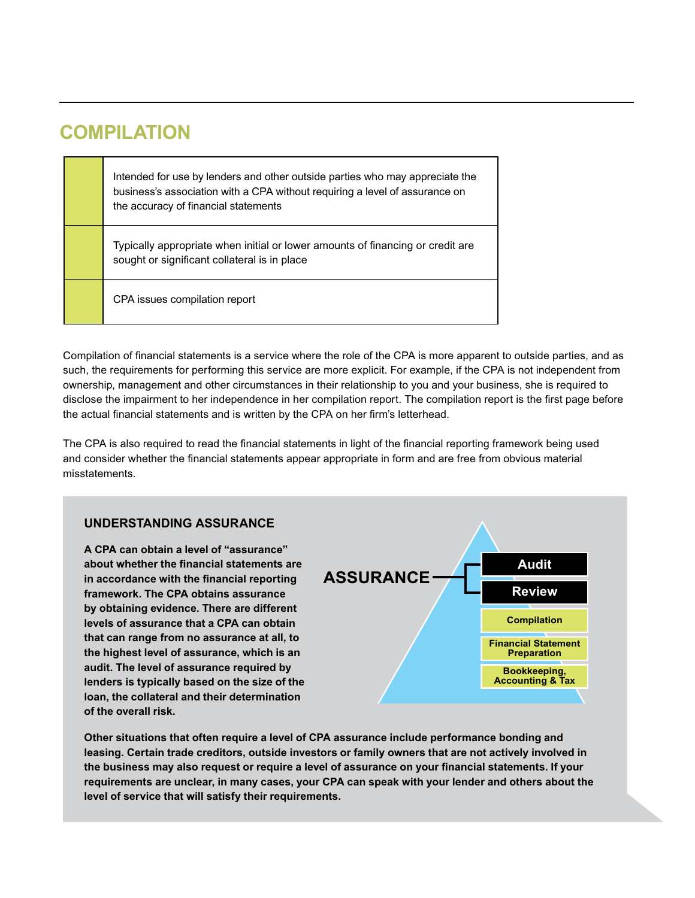## **COMPILATION**

Intended for use by lenders and other outside parties who may appreciate the business's association with a CPA without requiring a level of assurance on the accuracy of financial statements

Typically appropriate when initial or lower amounts of financing or credit are sought or significant collateral is in place

CPA issues compilation report

Compilation of financial statements is a service where the role of the CPA is more apparent to outside parties, and as such, the requirements for performing this service are more explicit. For example, if the CPA is not independent from ownership, management and other circumstances in their relationship to you and your business, she is required to disclose the impairment to her independence in her compilation report. The compilation report is the first page before the actual financial statements and is written by the CPA on her firm's letterhead.

The CPA is also required to read the financial statements in light of the financial reporting framework being used and consider whether the financial statements appear appropriate in form and are free from obvious material misstatements.

### **UNDERSTANDING ASSURANCE**

**A CPA can obtain a level of "assurance" about whether the financial statements are in accordance with the financial reporting framework. The CPA obtains assurance by obtaining evidence. There are different levels of assurance that a CPA can obtain that can range from no assurance at all, to the highest level of assurance, which is an audit. The level of assurance required by lenders is typically based on the size of the loan, the collateral and their determination of the overall risk.**



**Other situations that often require a level of CPA assurance include performance bonding and leasing. Certain trade creditors, outside investors or family owners that are not actively involved in the business may also request or require a level of assurance on your financial statements. If your requirements are unclear, in many cases, your CPA can speak with your lender and others about the level of service that will satisfy their requirements.**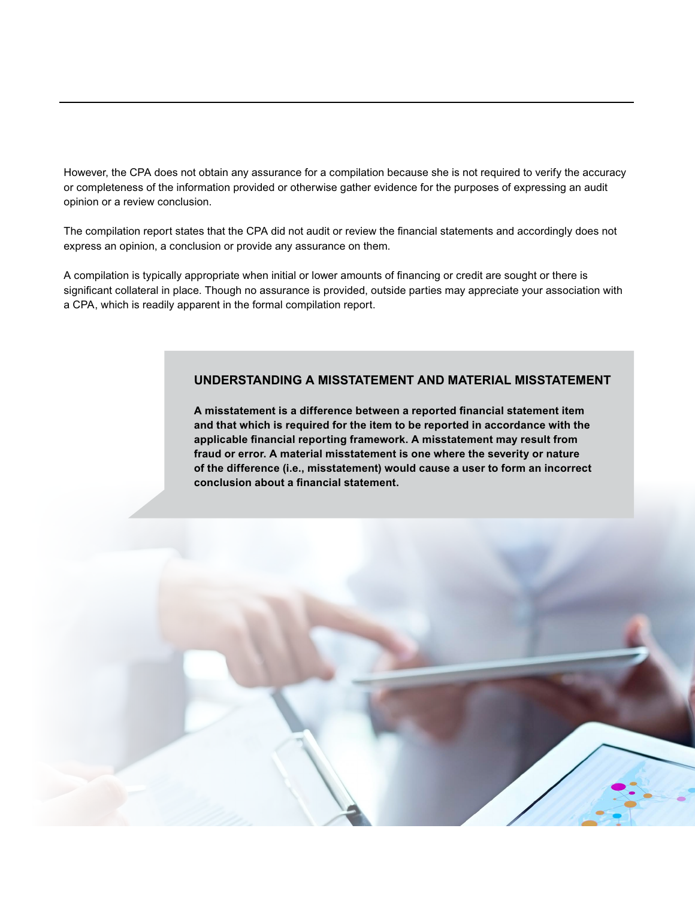However, the CPA does not obtain any assurance for a compilation because she is not required to verify the accuracy or completeness of the information provided or otherwise gather evidence for the purposes of expressing an audit opinion or a review conclusion.

The compilation report states that the CPA did not audit or review the financial statements and accordingly does not express an opinion, a conclusion or provide any assurance on them.

A compilation is typically appropriate when initial or lower amounts of financing or credit are sought or there is significant collateral in place. Though no assurance is provided, outside parties may appreciate your association with a CPA, which is readily apparent in the formal compilation report.

#### **UNDERSTANDING A MISSTATEMENT AND MATERIAL MISSTATEMENT**

**A misstatement is a difference between a reported financial statement item and that which is required for the item to be reported in accordance with the applicable financial reporting framework. A misstatement may result from fraud or error. A material misstatement is one where the severity or nature of the difference (i.e., misstatement) would cause a user to form an incorrect conclusion about a financial statement.** 

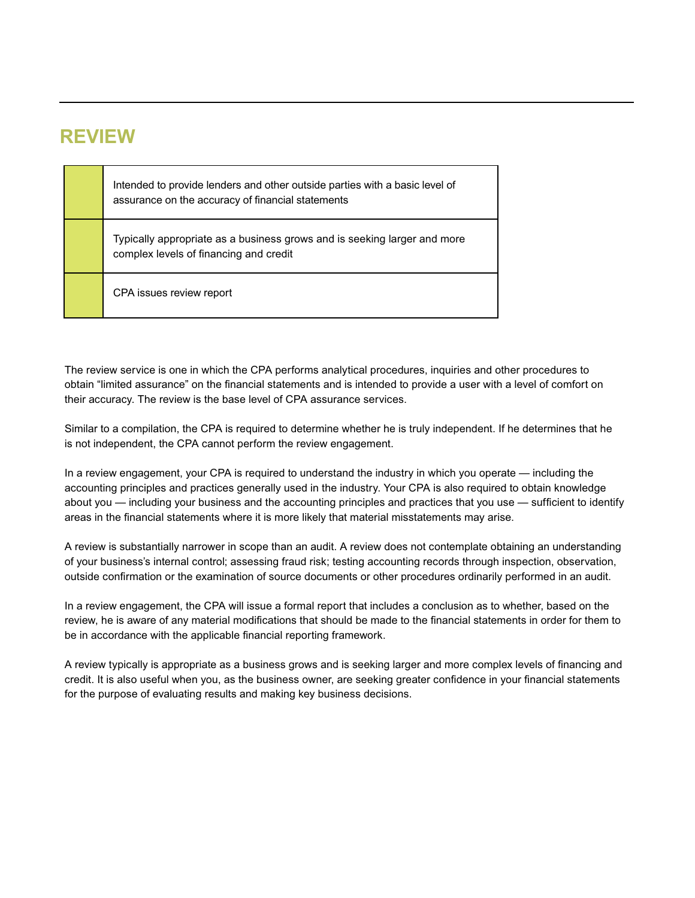### **REVIEW**

| Intended to provide lenders and other outside parties with a basic level of<br>assurance on the accuracy of financial statements |
|----------------------------------------------------------------------------------------------------------------------------------|
| Typically appropriate as a business grows and is seeking larger and more<br>complex levels of financing and credit               |
| CPA issues review report                                                                                                         |

The review service is one in which the CPA performs analytical procedures, inquiries and other procedures to obtain "limited assurance" on the financial statements and is intended to provide a user with a level of comfort on their accuracy. The review is the base level of CPA assurance services.

Similar to a compilation, the CPA is required to determine whether he is truly independent. If he determines that he is not independent, the CPA cannot perform the review engagement.

In a review engagement, your CPA is required to understand the industry in which you operate — including the accounting principles and practices generally used in the industry. Your CPA is also required to obtain knowledge about you — including your business and the accounting principles and practices that you use — sufficient to identify areas in the financial statements where it is more likely that material misstatements may arise.

A review is substantially narrower in scope than an audit. A review does not contemplate obtaining an understanding of your business's internal control; assessing fraud risk; testing accounting records through inspection, observation, outside confirmation or the examination of source documents or other procedures ordinarily performed in an audit.

In a review engagement, the CPA will issue a formal report that includes a conclusion as to whether, based on the review, he is aware of any material modifications that should be made to the financial statements in order for them to be in accordance with the applicable financial reporting framework.

A review typically is appropriate as a business grows and is seeking larger and more complex levels of financing and credit. It is also useful when you, as the business owner, are seeking greater confidence in your financial statements for the purpose of evaluating results and making key business decisions.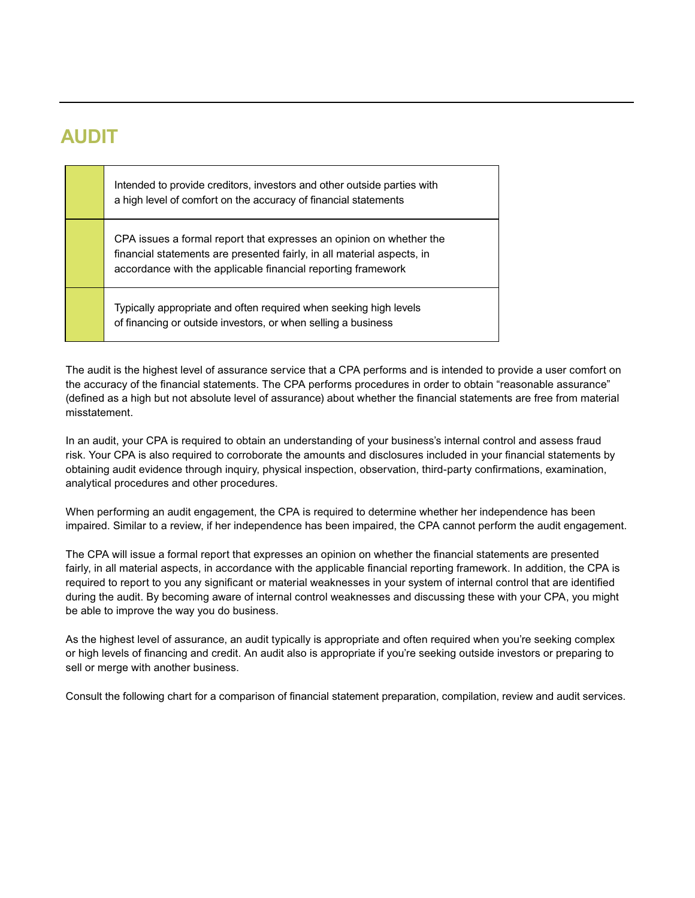## **AUDIT**

Intended to provide creditors, investors and other outside parties with a high level of comfort on the accuracy of financial statements

CPA issues a formal report that expresses an opinion on whether the financial statements are presented fairly, in all material aspects, in accordance with the applicable financial reporting framework

Typically appropriate and often required when seeking high levels of financing or outside investors, or when selling a business

The audit is the highest level of assurance service that a CPA performs and is intended to provide a user comfort on the accuracy of the financial statements. The CPA performs procedures in order to obtain "reasonable assurance" (defined as a high but not absolute level of assurance) about whether the financial statements are free from material misstatement.

In an audit, your CPA is required to obtain an understanding of your business's internal control and assess fraud risk. Your CPA is also required to corroborate the amounts and disclosures included in your financial statements by obtaining audit evidence through inquiry, physical inspection, observation, third-party confirmations, examination, analytical procedures and other procedures.

When performing an audit engagement, the CPA is required to determine whether her independence has been impaired. Similar to a review, if her independence has been impaired, the CPA cannot perform the audit engagement.

The CPA will issue a formal report that expresses an opinion on whether the financial statements are presented fairly, in all material aspects, in accordance with the applicable financial reporting framework. In addition, the CPA is required to report to you any significant or material weaknesses in your system of internal control that are identified during the audit. By becoming aware of internal control weaknesses and discussing these with your CPA, you might be able to improve the way you do business.

As the highest level of assurance, an audit typically is appropriate and often required when you're seeking complex or high levels of financing and credit. An audit also is appropriate if you're seeking outside investors or preparing to sell or merge with another business.

Consult the following chart for a comparison of financial statement preparation, compilation, review and audit services.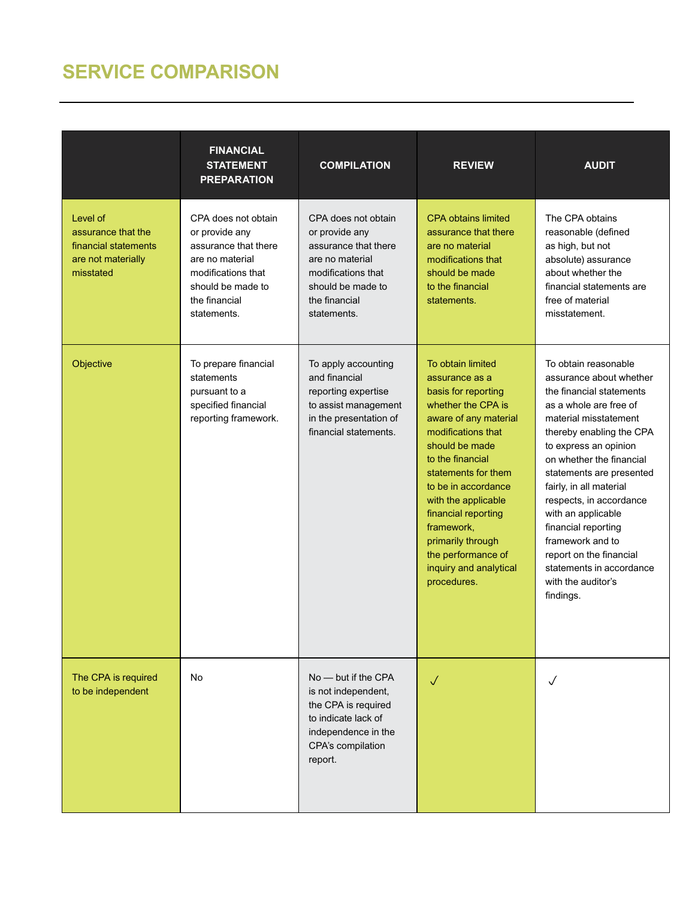## **SERVICE COMPARISON**

|                                                                                           | <b>FINANCIAL</b><br><b>STATEMENT</b><br><b>PREPARATION</b>                                                                                                  | <b>COMPILATION</b>                                                                                                                                          | <b>REVIEW</b>                                                                                                                                                                                                                                                                                                                                                       | <b>AUDIT</b>                                                                                                                                                                                                                                                                                                                                                                                                                                                 |
|-------------------------------------------------------------------------------------------|-------------------------------------------------------------------------------------------------------------------------------------------------------------|-------------------------------------------------------------------------------------------------------------------------------------------------------------|---------------------------------------------------------------------------------------------------------------------------------------------------------------------------------------------------------------------------------------------------------------------------------------------------------------------------------------------------------------------|--------------------------------------------------------------------------------------------------------------------------------------------------------------------------------------------------------------------------------------------------------------------------------------------------------------------------------------------------------------------------------------------------------------------------------------------------------------|
| Level of<br>assurance that the<br>financial statements<br>are not materially<br>misstated | CPA does not obtain<br>or provide any<br>assurance that there<br>are no material<br>modifications that<br>should be made to<br>the financial<br>statements. | CPA does not obtain<br>or provide any<br>assurance that there<br>are no material<br>modifications that<br>should be made to<br>the financial<br>statements. | <b>CPA obtains limited</b><br>assurance that there<br>are no material<br>modifications that<br>should be made<br>to the financial<br>statements.                                                                                                                                                                                                                    | The CPA obtains<br>reasonable (defined<br>as high, but not<br>absolute) assurance<br>about whether the<br>financial statements are<br>free of material<br>misstatement.                                                                                                                                                                                                                                                                                      |
| Objective                                                                                 | To prepare financial<br>statements<br>pursuant to a<br>specified financial<br>reporting framework.                                                          | To apply accounting<br>and financial<br>reporting expertise<br>to assist management<br>in the presentation of<br>financial statements.                      | To obtain limited<br>assurance as a<br>basis for reporting<br>whether the CPA is<br>aware of any material<br>modifications that<br>should be made<br>to the financial<br>statements for them<br>to be in accordance<br>with the applicable<br>financial reporting<br>framework,<br>primarily through<br>the performance of<br>inquiry and analytical<br>procedures. | To obtain reasonable<br>assurance about whether<br>the financial statements<br>as a whole are free of<br>material misstatement<br>thereby enabling the CPA<br>to express an opinion<br>on whether the financial<br>statements are presented<br>fairly, in all material<br>respects, in accordance<br>with an applicable<br>financial reporting<br>framework and to<br>report on the financial<br>statements in accordance<br>with the auditor's<br>findings. |
| The CPA is required<br>to be independent                                                  | No                                                                                                                                                          | $No$ — but if the CPA<br>is not independent,<br>the CPA is required<br>to indicate lack of<br>independence in the<br>CPA's compilation<br>report.           | $\sqrt{}$                                                                                                                                                                                                                                                                                                                                                           | J                                                                                                                                                                                                                                                                                                                                                                                                                                                            |